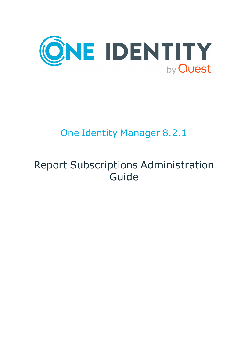

# One Identity Manager 8.2.1

# Report Subscriptions Administration Guide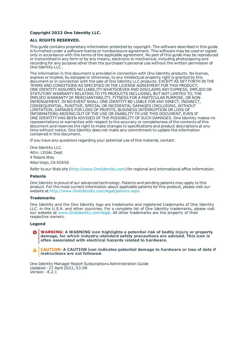#### **Copyright 2022 One Identity LLC.**

#### **ALL RIGHTS RESERVED.**

This guide contains proprietary information protected by copyright. The software described in this guide is furnished under a software license or nondisclosure agreement. This software may be used or copied only in accordance with the terms of the applicable agreement. No part of this guide may be reproduced or transmitted in any form or by any means, electronic or mechanical, including photocopying and recording for any purpose other than the purchaser's personal use without the written permission of One Identity LLC .

The information in this document is provided in connection with One Identity products. No license, express or implied, by estoppel or otherwise, to any intellectual property right is granted by this document or in connection with the sale of One Identity LLC products. EXCEPT AS SET FORTH IN THE TERMS AND CONDITIONS AS SPECIFIED IN THE LICENSE AGREEMENT FOR THIS PRODUCT, ONE IDENTITY ASSUMES NO LIABILITY WHATSOEVER AND DISCLAIMS ANY EXPRESS, IMPLIED OR STATUTORY WARRANTY RELATING TO ITS PRODUCTS INCLUDING, BUT NOT LIMITED TO, THE IMPLIED WARRANTY OF MERCHANTABILITY, FITNESS FOR A PARTICULAR PURPOSE, OR NON-INFRINGEMENT. IN NO EVENT SHALL ONE IDENTITY BE LIABLE FOR ANY DIRECT, INDIRECT, CONSEQUENTIAL, PUNITIVE, SPECIAL OR INCIDENTAL DAMAGES (INCLUDING, WITHOUT LIMITATION, DAMAGES FOR LOSS OF PROFITS, BUSINESS INTERRUPTION OR LOSS OF INFORMATION) ARISING OUT OF THE USE OR INABILITY TO USE THIS DOCUMENT, EVEN IF ONE IDENTITY HAS BEEN ADVISED OF THE POSSIBILITY OF SUCH DAMAGES. One Identity makes no representations or warranties with respect to the accuracy or completeness of the contents of this document and reserves the right to make changes to specifications and product descriptions at any time without notice. One Identity does not make any commitment to update the information contained in this document.

If you have any questions regarding your potential use of this material, contact:

One Identity LLC. Attn: LEGAL Dept 4 Polaris Way Aliso Viejo, CA 92656

Refer to our Web site ([http://www.OneIdentity.com](http://www.oneidentity.com/)) for regional and international office information.

#### **Patents**

One Identity is proud of our advanced technology. Patents and pending patents may apply to this product. For the most current information about applicable patents for this product, please visit our website at [http://www.OneIdentity.com/legal/patents.aspx](http://www.oneidentity.com/legal/patents.aspx).

#### **Trademarks**

One Identity and the One Identity logo are trademarks and registered trademarks of One Identity LLC. in the U.S.A. and other countries. For a complete list of One Identity trademarks, please visit our website at [www.OneIdentity.com/legal](http://www.oneidentity.com/legal). All other trademarks are the property of their respective owners.

#### **Legend**

**WARNING: A WARNING icon highlights a potential risk of bodily injury or property damage, for which industry-standard safety precautions are advised. This icon is often associated with electrical hazards related to hardware.**

**CAUTION: A CAUTION icon indicates potential damage to hardware or loss of data if** A **instructions are not followed.**

One Identity Manager Report Subscriptions Administration Guide Updated - 27 April 2022, 03:08 Version - 8.2.1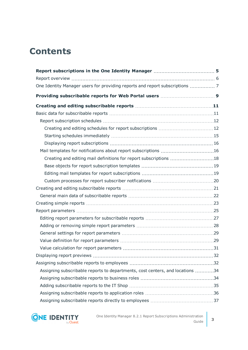## **Contents**

| Creating and editing mail definitions for report subscriptions 18             |  |
|-------------------------------------------------------------------------------|--|
|                                                                               |  |
|                                                                               |  |
|                                                                               |  |
|                                                                               |  |
|                                                                               |  |
|                                                                               |  |
|                                                                               |  |
|                                                                               |  |
|                                                                               |  |
|                                                                               |  |
|                                                                               |  |
|                                                                               |  |
|                                                                               |  |
|                                                                               |  |
| Assigning subscribable reports to departments, cost centers, and locations 34 |  |
|                                                                               |  |
|                                                                               |  |
|                                                                               |  |
|                                                                               |  |

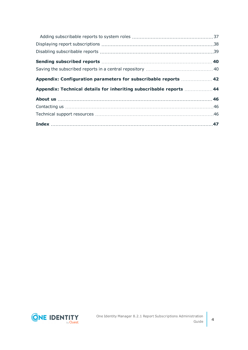| Appendix: Configuration parameters for subscribable reports  42     |  |
|---------------------------------------------------------------------|--|
| Appendix: Technical details for inheriting subscribable reports  44 |  |
|                                                                     |  |
|                                                                     |  |
|                                                                     |  |
|                                                                     |  |

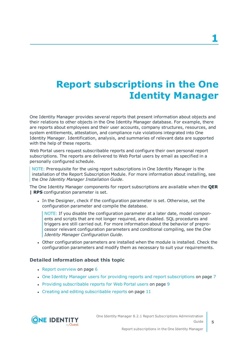# <span id="page-4-0"></span>**Report subscriptions in the One Identity Manager**

One Identity Manager provides several reports that present information about objects and their relations to other objects in the One Identity Manager database. For example, there are reports about employees and their user accounts, company structures, resources, and system entitlements, attestation, and compliance rule violations integrated into One Identity Manager. Identification, analysis, and summaries of relevant data are supported with the help of these reports.

Web Portal users request subscribable reports and configure their own personal report subscriptions. The reports are delivered to Web Portal users by email as specified in a personally configured schedule.

NOTE: Prerequisite for the using report subscriptions in One Identity Manager is the installation of the Report Subscription Module. For more information about installing, see the *One Identity Manager Installation Guide*.

The One Identity Manager components for report subscriptions are available when the **QER | RPS** configuration parameter is set.

In the Designer, check if the configuration parameter is set. Otherwise, set the configuration parameter and compile the database.

NOTE: If you disable the configuration parameter at a later date, model components and scripts that are not longer required, are disabled. SQL procedures and triggers are still carried out. For more information about the behavior of preprocessor relevant configuration parameters and conditional compiling, see the *One Identity Manager Configuration Guide*.

• Other configuration parameters are installed when the module is installed. Check the configuration parameters and modify them as necessary to suit your requirements.

#### **Detailed information about this topic**

- $\cdot$  Report [overview](#page-5-0) on page 6
- One Identity Manager users for providing reports and report [subscriptions](#page-6-0) on page 7
- Providing [subscribable](#page-8-0) reports for Web Portal users on page 9
- $\cdot$  Creating and editing [subscribable](#page-10-0) reports on page 11

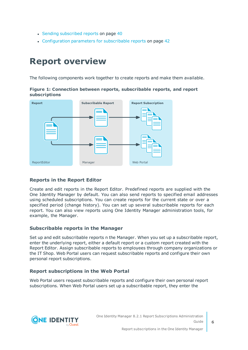- Sending [subscribed](#page-39-0) reports on page 40
- [Configuration](#page-41-0) parameters for subscribable reports on page 42

### <span id="page-5-0"></span>**Report overview**

The following components work together to create reports and make them available.

**Figure 1: Connection between reports, subscribable reports, and report subscriptions**



#### **Reports in the Report Editor**

Create and edit reports in the Report Editor. Predefined reports are supplied with the One Identity Manager by default. You can also send reports to specified email addresses using scheduled subscriptions. You can create reports for the current state or over a specified period (change history). You can set up several subscribable reports for each report. You can also view reports using One Identity Manager administration tools, for example, the Manager.

#### **Subscribable reports in the Manager**

Set up and edit subscribable reports n the Manager. When you set up a subscribable report, enter the underlying report, either a default report or a custom report created with the Report Editor. Assign subscribable reports to employees through company organizations or the IT Shop. Web Portal users can request subscribable reports and configure their own personal report subscriptions.

#### **Report subscriptions in the Web Portal**

Web Portal users request subscribable reports and configure their own personal report subscriptions. When Web Portal users set up a subscribable report, they enter the

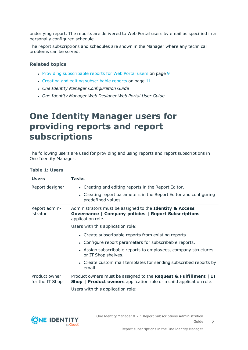underlying report. The reports are delivered to Web Portal users by email as specified in a personally configured schedule.

The report subscriptions and schedules are shown in the Manager where any technical problems can be solved.

#### **Related topics**

- Providing [subscribable](#page-8-0) reports for Web Portal users on page 9
- Creating and editing [subscribable](#page-10-0) reports on page 11
- <sup>l</sup> *One Identity Manager Configuration Guide*
- <sup>l</sup> *One Identity Manager Web Designer Web Portal User Guide*

### <span id="page-6-0"></span>**One Identity Manager users for providing reports and report subscriptions**

The following users are used for providing and using reports and report subscriptions in One Identity Manager.

| <b>Table 1: Users</b> |
|-----------------------|
|-----------------------|

| <b>Users</b>                     | <b>Tasks</b>                                                                                                                                               |
|----------------------------------|------------------------------------------------------------------------------------------------------------------------------------------------------------|
| Report designer                  | • Creating and editing reports in the Report Editor.                                                                                                       |
|                                  | • Creating report parameters in the Report Editor and configuring<br>predefined values.                                                                    |
| Report admin-<br>istrator        | Administrators must be assigned to the Identity & Access<br>Governance   Company policies   Report Subscriptions<br>application role.                      |
|                                  | Users with this application role:                                                                                                                          |
|                                  | • Create subscribable reports from existing reports.                                                                                                       |
|                                  | • Configure report parameters for subscribable reports.                                                                                                    |
|                                  | • Assign subscribable reports to employees, company structures<br>or IT Shop shelves.                                                                      |
|                                  | • Create custom mail templates for sending subscribed reports by<br>email.                                                                                 |
| Product owner<br>for the IT Shop | Product owners must be assigned to the <b>Request &amp; Fulfillment</b>   IT<br><b>Shop   Product owners</b> application role or a child application role. |
|                                  | Users with this application role:                                                                                                                          |

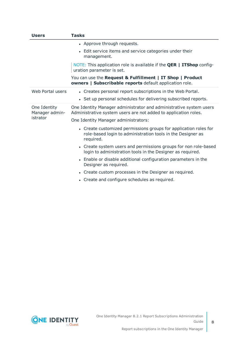| <b>Users</b>                   | <b>Tasks</b>                                                                                                                                 |
|--------------------------------|----------------------------------------------------------------------------------------------------------------------------------------------|
|                                | • Approve through requests.                                                                                                                  |
|                                | • Edit service items and service categories under their<br>management.                                                                       |
|                                | NOTE: This application role is available if the <b>QER   ITShop</b> config-<br>uration parameter is set.                                     |
|                                | You can use the Request & Fulfillment   IT Shop   Product<br>owners   Subscribable reports default application role.                         |
| Web Portal users               | • Creates personal report subscriptions in the Web Portal.                                                                                   |
|                                | • Set up personal schedules for delivering subscribed reports.                                                                               |
| One Identity<br>Manager admin- | One Identity Manager administrator and administrative system users<br>Administrative system users are not added to application roles.        |
| istrator                       | One Identity Manager administrators:                                                                                                         |
|                                | • Create customized permissions groups for application roles for<br>role-based login to administration tools in the Designer as<br>required. |
|                                | • Create system users and permissions groups for non role-based<br>login to administration tools in the Designer as required.                |
|                                | • Enable or disable additional configuration parameters in the<br>Designer as required.                                                      |
|                                | Create custom processes in the Designer as required.<br>$\bullet$                                                                            |
|                                | • Create and configure schedules as required.                                                                                                |

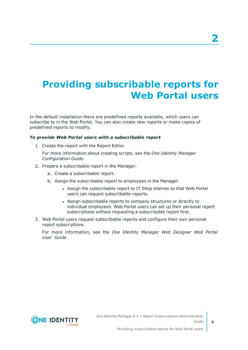# <span id="page-8-0"></span>**Providing subscribable reports for Web Portal users**

In the default installation there are predefined reports available, which users can subscribe to in the Web Portal. You can also create new reports or make copies of predefined reports to modify.

#### *To provide Web Portal users with a subscribable report*

1. Create the report with the Report Editor.

For more information about creating scripts, see the *One Identity Manager Configuration Guide*.

- 2. Prepare a subscribable report in the Manager.
	- a. Create a subscribable report.
	- b. Assign the subscribable report to employees in the Manager.
		- Assign the subscribable report to IT Shop shelves so that Web Portal users can request subscribable reports.
		- Assign subscribable reports to company structures or directly to individual employees. Web Portal users can set up their personal report subscriptions without requesting a subscribable report first.
- 3. Web Portal users request subscribable reports and configure their own personal report subscriptions.

For more information, see the *One Identity Manager Web Designer Web Portal User Guide*.

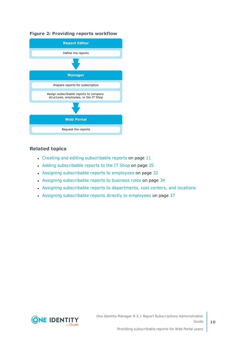#### **Figure 2: Providing reports workflow**



#### **Related topics**

- $\cdot$  Creating and editing [subscribable](#page-10-0) reports on page 11
- Adding [subscribable](#page-34-0) reports to the IT Shop on page 35
- Assigning [subscribable](#page-31-1) reports to employees on page 32
- Assigning [subscribable](#page-33-1) reports to business roles on page 34
- Assigning subscribable reports to [departments,](#page-33-0) cost centers, and locations
- Assigning [subscribable](#page-36-0) reports directly to employees on page 37

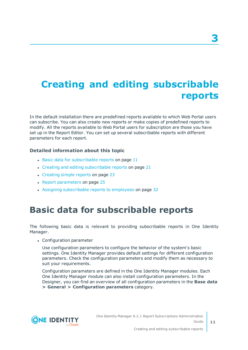# <span id="page-10-0"></span>**Creating and editing subscribable reports**

In the default installation there are predefined reports available to which Web Portal users can subscribe. You can also create new reports or make copies of predefined reports to modify. All the reports available to Web Portal users for subscription are those you have set up in the Report Editor. You can set up several subscribable reports with different parameters for each report.

#### **Detailed information about this topic**

- $\cdot$  Basic data for [subscribable](#page-10-1) reports on page 11
- Creating and editing [subscribable](#page-20-0) reports on page 21
- [Creating](#page-22-0) simple reports on page 23
- Report [parameters](#page-24-0) on page 25
- Assigning [subscribable](#page-31-1) reports to employees on page 32

### <span id="page-10-1"></span>**Basic data for subscribable reports**

The following basic data is relevant to providing subscribable reports in One Identity Manager.

• Configuration parameter

Use configuration parameters to configure the behavior of the system's basic settings. One Identity Manager provides default settings for different configuration parameters. Check the configuration parameters and modify them as necessary to suit your requirements.

Configuration parameters are defined in the One Identity Manager modules. Each One Identity Manager module can also install configuration parameters. In the Designer, you can find an overview of all configuration parameters in the **Base data > General > Configuration parameters** category.

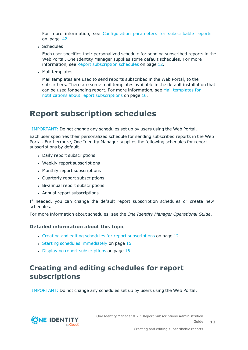For more information, see [Configuration](#page-41-0) parameters for subscribable reports on [page](#page-41-0) 42.

• Schedules

Each user specifies their personalized schedule for sending subscribed reports in the Web Portal. One Identity Manager supplies some default schedules. For [more](#page-11-0) [information,](#page-11-0) see Report subscription schedules on page 12.

• Mail templates

Mail templates are used to send reports subscribed in the Web Portal, to the subscribers. There are some mail templates available in the default installation that can be used for sending report. For more [information,](#page-15-1) see Mail templates for notifications about report [subscriptions](#page-15-1) on page 16.

### <span id="page-11-0"></span>**Report subscription schedules**

IMPORTANT: Do not change any schedules set up by users using the Web Portal.

Each user specifies their personalized schedule for sending subscribed reports in the Web Portal. Furthermore, One Identity Manager supplies the following schedules for report subscriptions by default.

- Daily report subscriptions
- Weekly report subscriptions
- Monthly report subscriptions
- Quarterly report subscriptions
- Bi-annual report subscriptions
- Annual report subscriptions

If needed, you can change the default report subscription schedules or create new schedules.

For more information about schedules, see the *One Identity Manager Operational Guide*.

#### **Detailed information about this topic**

- Creating and editing schedules for report [subscriptions](#page-11-1) on page 12
- Starting schedules [immediately](#page-14-0) on page 15
- $\bullet$  Displaying report [subscriptions](#page-15-0) on page 16

### <span id="page-11-1"></span>**Creating and editing schedules for report subscriptions**

IMPORTANT: Do not change any schedules set up by users using the Web Portal.

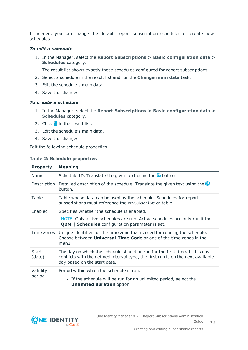If needed, you can change the default report subscription schedules or create new schedules.

#### *To edit a schedule*

1. In the Manager, select the **Report Subscriptions > Basic configuration data > Schedules** category.

The result list shows exactly those schedules configured for report subscriptions.

- 2. Select a schedule in the result list and run the **Change main data** task.
- 3. Edit the schedule's main data.
- 4. Save the changes.

#### *To create a schedule*

- 1. In the Manager, select the **Report Subscriptions > Basic configuration data > Schedules** category.
- 2. Click  $\mathbf{r}$  in the result list.
- 3. Edit the schedule's main data.
- 4. Save the changes.

Edit the following schedule properties.

#### **Table 2: Schedule properties**

| <b>Property</b>    | <b>Meaning</b>                                                                                                                                                                                  |
|--------------------|-------------------------------------------------------------------------------------------------------------------------------------------------------------------------------------------------|
| Name               | Schedule ID. Translate the given text using the $\bullet$ button.                                                                                                                               |
| Description        | Detailed description of the schedule. Translate the given text using the $\bullet$<br>button.                                                                                                   |
| Table              | Table whose data can be used by the schedule. Schedules for report<br>subscriptions must reference the RPSSubscription table.                                                                   |
| Enabled            | Specifies whether the schedule is enabled.                                                                                                                                                      |
|                    | NOTE: Only active schedules are run. Active schedules are only run if the<br><b>QBM   Schedules</b> configuration parameter is set.                                                             |
| Time zones         | Unique identifier for the time zone that is used for running the schedule.<br>Choose between <b>Universal Time Code</b> or one of the time zones in the<br>menu.                                |
| Start<br>(date)    | The day on which the schedule should be run for the first time. If this day<br>conflicts with the defined interval type, the first run is on the next available<br>day based on the start date. |
| Validity<br>period | Period within which the schedule is run.                                                                                                                                                        |
|                    | • If the schedule will be run for an unlimited period, select the<br><b>Unlimited duration option.</b>                                                                                          |

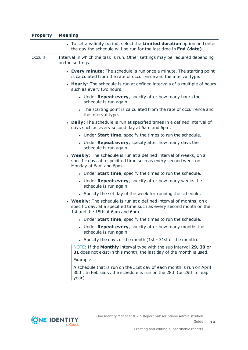| <b>Property</b> | <b>Meaning</b>                                                                                                                                                                 |
|-----------------|--------------------------------------------------------------------------------------------------------------------------------------------------------------------------------|
|                 | • To set a validity period, select the Limited duration option and enter<br>the day the schedule will be run for the last time in End (date).                                  |
| <b>Occurs</b>   | Interval in which the task is run. Other settings may be required depending<br>on the settings.                                                                                |
|                 | • Every minute: The schedule is run once a minute. The starting point<br>is calculated from the rate of occurrence and the interval type.                                      |
|                 | • Hourly: The schedule is run at defined intervals of a multiple of hours<br>such as every two hours.                                                                          |
|                 | • Under Repeat every, specify after how many hours the<br>schedule is run again.                                                                                               |
|                 | • The starting point is calculated from the rate of occurrence and<br>the interval type.                                                                                       |
|                 | • Daily: The schedule is run at specified times in a defined interval of<br>days such as every second day at 6am and 6pm.                                                      |
|                 | . Under <b>Start time</b> , specify the times to run the schedule.                                                                                                             |
|                 | • Under Repeat every, specify after how many days the<br>schedule is run again.                                                                                                |
|                 | • Weekly: The schedule is run at a defined interval of weeks, on a<br>specific day, at a specified time such as every second week on<br>Monday at 6am and 6pm.                 |
|                 | • Under <b>Start time</b> , specify the times to run the schedule.                                                                                                             |
|                 | • Under Repeat every, specify after how many weeks the<br>schedule is run again.                                                                                               |
|                 | • Specify the set day of the week for running the schedule.                                                                                                                    |
|                 | • Weekly: The schedule is run at a defined interval of months, on a<br>specific day, at a specified time such as every second month on the<br>1st and the 15th at 6am and 6pm. |
|                 | . Under Start time, specify the times to run the schedule.                                                                                                                     |
|                 | • Under Repeat every, specify after how many months the<br>schedule is run again.                                                                                              |
|                 | • Specify the days of the month (1st - 31st of the month).                                                                                                                     |
|                 | NOTE: If the <b>Monthly</b> interval type with the sub interval 29, 30 or<br>31 does not exist in this month, the last day of the month is used.                               |
|                 | Example:                                                                                                                                                                       |
|                 | A schedule that is run on the 31st day of each month is run on April<br>30th. In February, the schedule is run on the 28th (or 29th in leap<br>year).                          |
|                 |                                                                                                                                                                                |

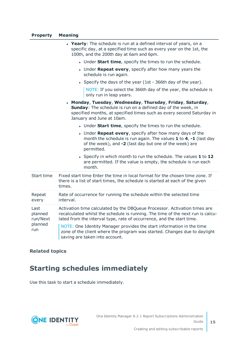#### **Property Meaning**

|                                               | • Yearly: The schedule is run at a defined interval of years, on a<br>specific day, at a specified time such as every year on the 1st, the<br>100th, and the 200th day at 6am and 6pm.                                                |
|-----------------------------------------------|---------------------------------------------------------------------------------------------------------------------------------------------------------------------------------------------------------------------------------------|
|                                               | • Under Start time, specify the times to run the schedule.                                                                                                                                                                            |
|                                               | • Under Repeat every, specify after how many years the<br>schedule is run again.                                                                                                                                                      |
|                                               | • Specify the days of the year (1st - 366th day of the year).                                                                                                                                                                         |
|                                               | NOTE: If you select the 366th day of the year, the schedule is<br>only run in leap years.                                                                                                                                             |
|                                               | . Monday, Tuesday, Wednesday, Thursday, Friday, Saturday,<br>Sunday: The schedule is run on a defined day of the week, in<br>specified months, at specified times such as every second Saturday in<br>January and June at 10am.       |
|                                               | • Under Start time, specify the times to run the schedule.                                                                                                                                                                            |
|                                               | • Under Repeat every, specify after how many days of the<br>month the schedule is run again. The values $1$ to $4$ , $-1$ (last day<br>of the week), and -2 (last day but one of the week) are<br>permitted.                          |
|                                               | • Specify in which month to run the schedule. The values 1 to 12<br>are permitted. If the value is empty, the schedule is run each<br>month.                                                                                          |
| Start time                                    | Fixed start time Enter the time in local format for the chosen time zone. If<br>there is a list of start times, the schedule is started at each of the given<br>times.                                                                |
| Repeat<br>every                               | Rate of occurrence for running the schedule within the selected time<br>interval.                                                                                                                                                     |
| Last<br>planned<br>run/Next<br>planned<br>run | Activation time calculated by the DBQueue Processor. Activation times are<br>recalculated whilst the schedule is running. The time of the next run is calcu-<br>lated from the interval type, rate of occurrence, and the start time. |
|                                               | NOTE: One Identity Manager provides the start information in the time<br>zone of the client where the program was started. Changes due to daylight<br>saving are taken into account.                                                  |

#### <span id="page-14-0"></span>**Related topics**

### **Starting schedules immediately**

Use this task to start a schedule immediately.

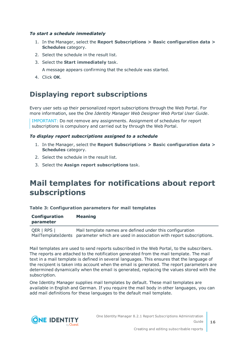#### *To start a schedule immediately*

- 1. In the Manager, select the **Report Subscriptions > Basic configuration data > Schedules** category.
- 2. Select the schedule in the result list.
- 3. Select the **Start immediately** task.

A message appears confirming that the schedule was started.

<span id="page-15-0"></span>4. Click **OK**.

### **Displaying report subscriptions**

Every user sets up their personalized report subscriptions through the Web Portal. For more information, see the *One Identity Manager Web Designer Web Portal User Guide*.

IMPORTANT: Do not remove any assignments. Assignment of schedules for report subscriptions is compulsory and carried out by through the Web Portal.

#### *To display report subscriptions assigned to a schedule*

- 1. In the Manager, select the **Report Subscriptions > Basic configuration data > Schedules** category.
- 2. Select the schedule in the result list.
- <span id="page-15-1"></span>3. Select the **Assign report subscriptions** task.

### **Mail templates for notifications about report subscriptions**

#### **Table 3: Configuration parameters for mail templates**

| Configuration | <b>Meaning</b> |
|---------------|----------------|
| parameter     |                |

QER | RPS | MailTemplateIdents parameter which are used in association with report subscriptions. Mail template names are defined under this configuration

Mail templates are used to send reports subscribed in the Web Portal, to the subscribers. The reports are attached to the notification generated from the mail template. The mail text in a mail template is defined in several languages. This ensures that the language of the recipient is taken into account when the email is generated. The report parameters are determined dynamically when the email is generated, replacing the values stored with the subscription.

One Identity Manager supplies mail templates by default. These mail templates are available in English and German. If you require the mail body in other languages, you can add mail definitions for these languages to the default mail template.

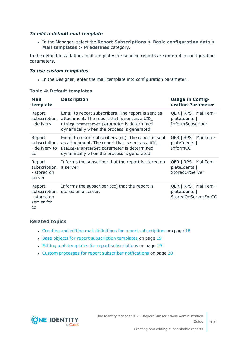#### *To edit a default mail template*

<sup>l</sup> In the Manager, select the **Report Subscriptions > Basic configuration data > Mail templates > Predefined** category.

In the default installation, mail templates for sending reports are entered in configuration parameters.

#### *To use custom templates*

• In the Designer, enter the mail template into configuration parameter.

| Mail<br>template                                          | <b>Description</b>                                                                                                                                                                                  | <b>Usage in Config-</b><br>uration Parameter                 |
|-----------------------------------------------------------|-----------------------------------------------------------------------------------------------------------------------------------------------------------------------------------------------------|--------------------------------------------------------------|
| Report<br>subscription<br>- delivery                      | Email to report subscribers. The report is sent as<br>attachment. The report that is sent as a UID<br>DialogParameterSet parameter is determined<br>dynamically when the process is generated.      | QER   RPS   MailTem-<br>plateIdents  <br>InformSubscriber    |
| Report<br>subscription<br>- delivery to<br>CC             | Email to report subscribers (cc). The report is sent<br>as attachment. The report that is sent as a UID<br>DialogParameterSet parameter is determined<br>dynamically when the process is generated. | QER   RPS   MailTem-<br>plateIdents  <br>InformCC            |
| Report<br>subscription<br>- stored on<br>server           | Informs the subscriber that the report is stored on<br>a server.                                                                                                                                    | QER   RPS   MailTem-<br>plateIdents  <br>StoredOnServer      |
| Report<br>subscription<br>- stored on<br>server for<br>CC | Informs the subscriber (cc) that the report is<br>stored on a server.                                                                                                                               | QER   RPS   MailTem-<br>plateIdents  <br>StoredOnServerForCC |

#### **Table 4: Default templates**

#### **Related topics**

- Creating and editing mail definitions for report [subscriptions](#page-17-0) on page 18
- Base objects for report [subscription](#page-18-0) templates on page 19
- Editing mail templates for report [subscriptions](#page-18-1) on page 19
- Custom processes for report subscriber [notfications](#page-19-0) on page 20

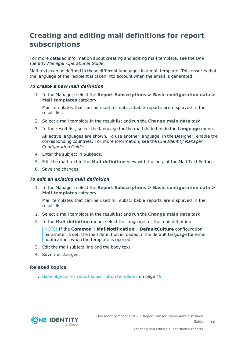### <span id="page-17-0"></span>**Creating and editing mail definitions for report subscriptions**

<span id="page-17-1"></span>For more detailed information about creating and editing mail template, see the *One Identity Manager Operational Guide*.

Mail texts can be defined in these different languages in a mail template. This ensures that the language of the recipient is taken into account when the email is generated.

#### *To create a new mail definition*

1. In the Manager, select the **Report Subscriptions > Basic configuration data > Mail templates** category.

Mail templates that can be used for subscribable reports are displayed in the result list.

- 2. Select a mail template in the result list and run the **Change main data** task.
- 3. In the result list, select the language for the mail definition in the **Language** menu.

All active languages are shown. To use another language, in the Designer, enable the corresponding countries. For more information, see the *One Identity Manager Configuration Guide*.

- 4. Enter the subject in **Subject**.
- 5. Edit the mail text in the **Mail definition** view with the help of the Mail Text Editor.
- 6. Save the changes.

#### *To edit an existing mail definition*

1. In the Manager, select the **Report Subscriptions > Basic configuration data > Mail templates** category.

Mail templates that can be used for subscribable reports are displayed in the result list.

- 1. Select a mail template in the result list and run the **Change main data** task.
- 2. In the **Mail definition** menu, select the language for the mail definition.

NOTE: If the **Common | MailNotification | DefaultCulture** configuration parameter is set, the mail definition is loaded in the default language for email notifications when the template is opened.

- 3. Edit the mail subject line and the body text.
- 4. Save the changes.

#### **Related topics**

• Base objects for report [subscription](#page-18-0) templates on page 19

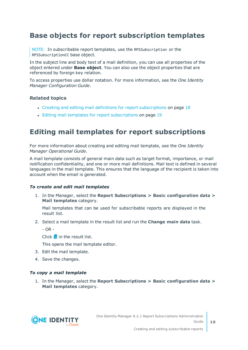### <span id="page-18-0"></span>**Base objects for report subscription templates**

NOTE: In subscribable report templates, use the RPSSubscription or the RPSSubscriptionCC base object.

In the subject line and body text of a mail definition, you can use all properties of the object entered under **Base object**. You can also use the object properties that are referenced by foreign key relation.

To access properties use dollar notation. For more information, see the *One Identity Manager Configuration Guide*.

#### **Related topics**

- Creating and editing mail definitions for report [subscriptions](#page-17-0) on page 18
- Editing mail templates for report [subscriptions](#page-18-1) on page 19

### <span id="page-18-1"></span>**Editing mail templates for report subscriptions**

For more information about creating and editing mail template, see the *One Identity Manager Operational Guide*.

A mail template consists of general main data such as target format, importance, or mail notification confidentiality, and one or more mail definitions. Mail text is defined in several languages in the mail template. This ensures that the language of the recipient is taken into account when the email is generated.

#### *To create and edit mail templates*

1. In the Manager, select the **Report Subscriptions > Basic configuration data > Mail templates** category.

Mail templates that can be used for subscribable reports are displayed in the result list.

2. Select a mail template in the result list and run the **Change main data** task.

 $-$  OR  $-$ 

Click  $\mathbf{r}$  in the result list.

This opens the mail template editor.

- 3. Edit the mail template.
- 4. Save the changes.

#### *To copy a mail template*

1. In the Manager, select the **Report Subscriptions > Basic configuration data > Mail templates** category.

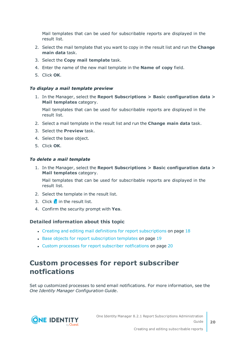Mail templates that can be used for subscribable reports are displayed in the result list.

- 2. Select the mail template that you want to copy in the result list and run the **Change main data** task.
- 3. Select the **Copy mail template** task.
- 4. Enter the name of the new mail template in the **Name of copy** field.
- 5. Click **OK**.

#### *To display a mail template preview*

1. In the Manager, select the **Report Subscriptions > Basic configuration data > Mail templates** category.

Mail templates that can be used for subscribable reports are displayed in the result list.

- 2. Select a mail template in the result list and run the **Change main data** task.
- 3. Select the **Preview** task.
- 4. Select the base object.
- 5. Click **OK**.

#### *To delete a mail template*

1. In the Manager, select the **Report Subscriptions > Basic configuration data > Mail templates** category.

Mail templates that can be used for subscribable reports are displayed in the result list.

- 2. Select the template in the result list.
- 3. Click  $\mathbf{\hat{i}}$  in the result list.
- 4. Confirm the security prompt with **Yes**.

#### **Detailed information about this topic**

- Creating and editing mail definitions for report [subscriptions](#page-17-0) on page 18
- **.** Base objects for report [subscription](#page-18-0) templates on page 19
- Custom processes for report subscriber [notfications](#page-19-0) on page 20

### <span id="page-19-0"></span>**Custom processes for report subscriber notfications**

Set up customized processes to send email notifications. For more information, see the *One Identity Manager Configuration Guide*.

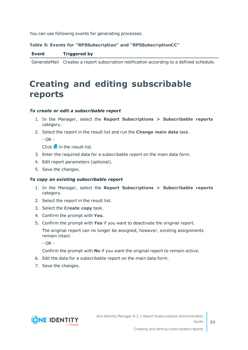You can use following events for generating processes.

#### **Table 5: Events for "RPSSubscription" and "RPSSubscriptionCC"**

|  | <b>Event</b> | <b>Triggered by</b> |
|--|--------------|---------------------|
|--|--------------|---------------------|

<span id="page-20-0"></span>GenerateMail Creates a report subscription notification according to a defined schedule.

## **Creating and editing subscribable reports**

#### *To create or edit a subscribable report*

- 1. In the Manager, select the **Report Subscriptions > Subscribable reports** category.
- 2. Select the report in the result list and run the **Change main data** task.

 $-$  OR  $-$ 

Click  $\mathbf{I}$  in the result list.

- 3. Enter the required data for a subscribable report on the main data form.
- 4. Edit report parameters (optional).
- 5. Save the changes.

#### *To copy an existing subscribable report*

- 1. In the Manager, select the **Report Subscriptions > Subscribable reports** category.
- 2. Select the report in the result list.
- 3. Select the **Create copy** task.
- 4. Confirm the prompt with **Yes**.
- 5. Confirm the prompt with **Yes** if you want to deactivate the original report.

The original report can no longer be assigned, however, existing assignments remain intact.

- OR -

Confirm the prompt with **No** if you want the original report to remain active.

- 6. Edit the data for a subscribable report on the main data form.
- 7. Save the changes.

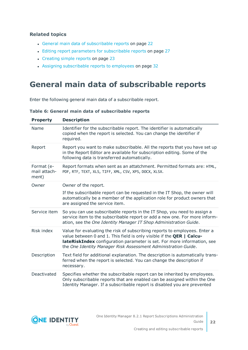#### **Related topics**

- General main data of [subscribable](#page-21-0) reports on page 22
- Editing report parameters for [subscribable](#page-26-0) reports on page 27
- [Creating](#page-22-0) simple reports on page 23
- Assigning [subscribable](#page-31-1) reports to employees on page 32

### <span id="page-21-0"></span>**General main data of subscribable reports**

Enter the following general main data of a subscribable report.

**Table 6: General main data of subscribable reports**

| <b>Property</b>                     | <b>Description</b>                                                                                                                                                                                                                                                                                      |
|-------------------------------------|---------------------------------------------------------------------------------------------------------------------------------------------------------------------------------------------------------------------------------------------------------------------------------------------------------|
| Name                                | Identifier for the subscribable report. The identifier is automatically<br>copied when the report is selected. You can change the identifier if<br>required.                                                                                                                                            |
| Report                              | Report you want to make subscribable. All the reports that you have set up<br>in the Report Editor are available for subscription editing. Some of the<br>following data is transferred automatically.                                                                                                  |
| Format (e-<br>mail attach-<br>ment) | Report formats when sent as an attatchment. Permitted formats are: HTML,<br>PDF, RTF, TEXT, XLS, TIFF, XML, CSV, XPS, DOCX, XLSX.                                                                                                                                                                       |
| Owner                               | Owner of the report.                                                                                                                                                                                                                                                                                    |
|                                     | If the subscribable report can be requested in the IT Shop, the owner will<br>automatically be a member of the application role for product owners that<br>are assigned the service item.                                                                                                               |
| Service item                        | So you can use subscribable reports in the IT Shop, you need to assign a<br>service item to the subscribable report or add a new one. For more inform-<br>ation, see the One Identity Manager IT Shop Administration Guide.                                                                             |
| Risk index                          | Value for evaluating the risk of subscribing reports to employees. Enter a<br>value between 0 and 1. This field is only visible if the <b>QER   Calcu-</b><br>lateRiskIndex configuration parameter is set. For more information, see<br>the One Identity Manager Risk Assessment Administration Guide. |
| Description                         | Text field for additional explanation. The description is automatically trans-<br>ferred when the report is selected. You can change the description if<br>necessary.                                                                                                                                   |
| Deactivated                         | Specifies whether the subscribable report can be inherited by employees.<br>Only subscribable reports that are enabled can be assigned within the One<br>Identity Manager. If a subscribable report is disabled you are prevented                                                                       |

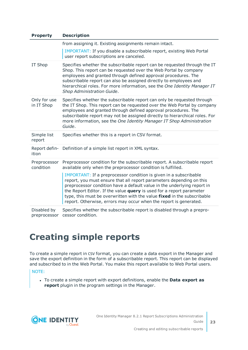| <b>Property</b><br><b>Description</b> |                                                                                                                                                                                                                                                                                                                                                                                                                                              |
|---------------------------------------|----------------------------------------------------------------------------------------------------------------------------------------------------------------------------------------------------------------------------------------------------------------------------------------------------------------------------------------------------------------------------------------------------------------------------------------------|
|                                       | from assigning it. Existing assignments remain intact.                                                                                                                                                                                                                                                                                                                                                                                       |
|                                       | IMPORTANT: If you disable a subscribable report, existing Web Portal<br>user report subscriptions are canceled.                                                                                                                                                                                                                                                                                                                              |
| IT Shop                               | Specifies whether the subscribable report can be requested through the IT<br>Shop. This report can be requested over the Web Portal by company<br>employees and granted through defined approval procedures. The<br>subscribable report can also be assigned directly to employees and<br>hierarchical roles. For more information, see the One Identity Manager IT<br>Shop Administration Guide.                                            |
| Only for use<br>in IT Shop            | Specifies whether the subscribable report can only be requested through<br>the IT Shop. This report can be requested over the Web Portal by company<br>employees and granted through defined approval procedures. The<br>subscribable report may not be assigned directly to hierarchical roles. For<br>more information, see the One Identity Manager IT Shop Administration<br>Guide.                                                      |
| Simple list<br>report                 | Specifies whether this is a report in CSV format.                                                                                                                                                                                                                                                                                                                                                                                            |
| Report defin-<br>ition                | Definition of a simple list report in XML syntax.                                                                                                                                                                                                                                                                                                                                                                                            |
| Preprocessor<br>condition             | Preprocessor condition for the subscribable report. A subscribable report<br>available only when the preprocessor condition is fulfilled.                                                                                                                                                                                                                                                                                                    |
|                                       | IMPORTANT: If a preprocessor condition is given in a subscribable<br>report, you must ensure that all report parameters depending on this<br>preprocessor condition have a default value in the underlying report in<br>the Report Editor. If the value query is used for a report parameter<br>type, this must be overwritten with the value fixed in the subscribable<br>report. Otherwise, errors may occur when the report is generated. |
| Disabled by<br>preprocessor           | Specifies whether the subscribable report is disabled through a prepro-<br>cessor condition.                                                                                                                                                                                                                                                                                                                                                 |

## <span id="page-22-0"></span>**Creating simple reports**

To create a simple report in CSV format, you can create a data export in the Manager and save the export definition in the form of a subscribable report. This report can be displayed and subscribed to in the Web Portal. You make this report available to Web Portal users.

NOTE:

<sup>l</sup> To create a simple report with export definitions, enable the **Data export as report** plugin in the program settings in the Manager.

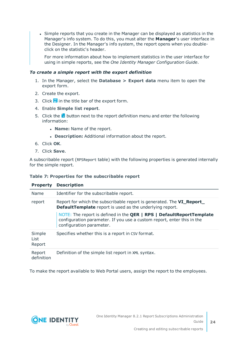• Simple reports that you create in the Manager can be displayed as statistics in the Manager's info system. To do this, you must alter the **Manager**'s user interface in the Designer. In the Manager's info system, the report opens when you doubleclick on the statistic's header.

For more information about how to implement statistics in the user interface for using in simple reports, see the *One Identity Manager Configuration Guide*.

#### *To create a simple report with the export definition*

- 1. In the Manager, select the **Database > Export data** menu item to open the export form.
- 2. Create the export.
- 3. Click  $\blacksquare$  in the title bar of the export form.
- 4. Enable **Simple list report**.
- 5. Click the **b**utton next to the report definition menu and enter the following information:
	- **· Name:** Name of the report.
	- **.** Description: Additional information about the report.
- 6. Click **OK**.
- 7. Click **Save**.

A subscribable report (RPSReport table) with the following properties is generated internally for the simple report.

#### **Table 7: Properties for the subscribable report**

| <b>Property</b>          | <b>Description</b>                                                                                                                                                         |
|--------------------------|----------------------------------------------------------------------------------------------------------------------------------------------------------------------------|
| Name                     | Identifier for the subscribable report.                                                                                                                                    |
| report                   | Report for which the subscribable report is generated. The VI_Report_<br><b>DefaultTemplate</b> report is used as the underlying report.                                   |
|                          | NOTE: The report is defined in the QER   RPS   DefaultReportTemplate<br>configuration parameter. If you use a custom report, enter this in the<br>configuration parameter. |
| Simple<br>List<br>Report | Specifies whether this is a report in CSV format.                                                                                                                          |
| Report<br>definition     | Definition of the simple list report in XML syntax.                                                                                                                        |

To make the report available to Web Portal users, assign the report to the employees.

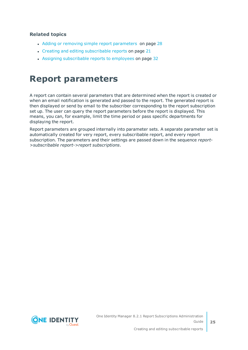#### **Related topics**

- Adding or removing simple report [parameters](#page-27-0) on page 28
- Creating and editing [subscribable](#page-20-0) reports on page 21
- Assigning [subscribable](#page-31-1) reports to employees on page 32

### <span id="page-24-0"></span>**Report parameters**

A report can contain several parameters that are determined when the report is created or when an email notification is generated and passed to the report. The generated report is then displayed or send by email to the subscriber corresponding to the report subscription set up. The user can query the report parameters before the report is displayed. This means, you can, for example, limit the time period or pass specific departments for displaying the report.

Report parameters are grouped internally into parameter sets. A separate parameter set is automatically created for very report, every subscribable report, and every report subscription. The parameters and their settings are passed down in the sequence *report- >subscribable report->report subscriptions*.

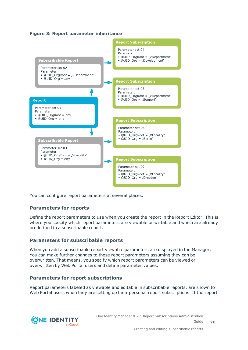#### **Figure 3: Report parameter inheritance**



You can configure report parameters at several places.

#### **Parameters for reports**

Define the report parameters to use when you create the report in the Report Editor. This is where you specify which report parameters are viewable or writable and which are already predefined in a subscribable report.

#### **Parameters for subscribable reports**

When you add a subscribable report viewable parameters are displayed in the Manager. You can make further changes to these report parameters assuming they can be overwritten. That means, you specify which report parameters can be viewed or overwritten by Web Portal users and define parameter values.

#### **Parameters for report subscriptions**

Report parameters labeled as viewable and editable in subscribable reports, are shown to Web Portal users when they are setting up their personal report subscriptions. If the report

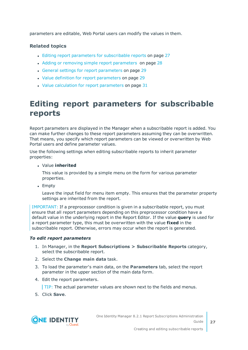parameters are editable, Web Portal users can modify the values in them.

#### **Related topics**

- Editing report parameters for [subscribable](#page-26-0) reports on page 27
- Adding or removing simple report [parameters](#page-27-0) on page 28
- General settings for report [parameters](#page-28-0) on page 29
- . Value definition for report [parameters](#page-28-1) on page 29
- $\cdot$  Value calculation for report [parameters](#page-30-0) on page 31

### <span id="page-26-0"></span>**Editing report parameters for subscribable reports**

Report parameters are displayed in the Manager when a subscribable report is added. You can make further changes to these report parameters assuming they can be overwritten. That means, you specify which report parameters can be viewed or overwritten by Web Portal users and define parameter values.

Use the following settings when editing subscribable reports to inherit parameter properties:

<sup>l</sup> Value **inherited**

This value is provided by a simple menu on the form for various parameter properties.

• Empty

Leave the input field for menu item empty. This ensures that the parameter property settings are inherited from the report.

IMPORTANT: If a preprocessor condition is given in a subscribable report, you must ensure that all report parameters depending on this preprocessor condition have a default value in the underlying report in the Report Editor. If the value **query** is used for a report parameter type, this must be overwritten with the value **fixed** in the subscribable report. Otherwise, errors may occur when the report is generated.

#### *To edit report parameters*

- 1. In Manager, in the **Report Subscriptions > Subscribable Reports** category, select the subscribable report.
- 2. Select the **Change main data** task.
- 3. To load the parameter's main data, on the **Parameters** tab, select the report parameter in the upper section of the main data form.
- 4. Edit the report parameters.

TIP: The actual parameter values are shown next to the fields and menus.

5. Click **Save**.

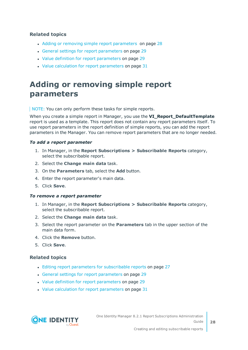#### **Related topics**

- Adding or removing simple report [parameters](#page-27-0) on page 28
- General settings for report [parameters](#page-28-0) on page 29
- Value definition for report [parameters](#page-28-1) on page 29
- Value calculation for report [parameters](#page-30-0) on page 31

### <span id="page-27-0"></span>**Adding or removing simple report parameters**

NOTE: You can only perform these tasks for simple reports.

When you create a simple report in Manager, you use the **VI\_Report\_DefaultTemplate** report is used as a template. This report does not contain any report parameters itself. To use report parameters in the report definition of simple reports, you can add the report parameters in the Manager. You can remove report parameters that are no longer needed.

#### *To add a report parameter*

- 1. In Manager, in the **Report Subscriptions > Subscribable Reports** category, select the subscribable report.
- 2. Select the **Change main data** task.
- 3. On the **Parameters** tab, select the **Add** button.
- 4. Enter the report parameter's main data.
- 5. Click **Save**.

#### *To remove a report parameter*

- 1. In Manager, in the **Report Subscriptions > Subscribable Reports** category, select the subscribable report.
- 2. Select the **Change main data** task.
- 3. Select the report parameter on the **Parameters** tab in the upper section of the main data form.
- 4. Click the **Remove** button.
- 5. Click **Save**.

#### **Related topics**

- Editing report parameters for [subscribable](#page-26-0) reports on page 27
- General settings for report [parameters](#page-28-0) on page 29
- Value definition for report [parameters](#page-28-1) on page 29
- Value calculation for report [parameters](#page-30-0) on page 31

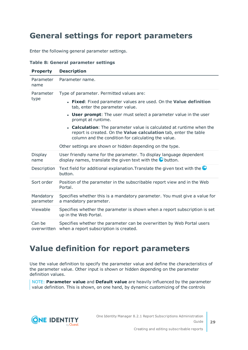### <span id="page-28-0"></span>**General settings for report parameters**

Enter the following general parameter settings.

#### **Table 8: General parameter settings**

| <b>Property</b>        | <b>Description</b>                                                                                                                                                                              |
|------------------------|-------------------------------------------------------------------------------------------------------------------------------------------------------------------------------------------------|
| Parameter<br>name      | Parameter name.                                                                                                                                                                                 |
| Parameter<br>type      | Type of parameter. Permitted values are:                                                                                                                                                        |
|                        | • Fixed: Fixed parameter values are used. On the Value definition<br>tab, enter the parameter value.                                                                                            |
|                        | <b>User prompt:</b> The user must select a parameter value in the user<br>prompt at runtime.                                                                                                    |
|                        | • Calculation: The parameter value is calculated at runtime when the<br>report is created. On the Value calculation tab, enter the table<br>column and the condition for calculating the value. |
|                        | Other settings are shown or hidden depending on the type.                                                                                                                                       |
| Display<br>name        | User friendly name for the parameter. To display language dependent<br>display names, translate the given text with the $\bullet$ button.                                                       |
| Description            | Text field for additional explanation. Translate the given text with the $\bullet$<br>button.                                                                                                   |
| Sort order             | Position of the parameter in the subscribable report view and in the Web<br>Portal.                                                                                                             |
| Mandatory<br>parameter | Specifies whether this is a mandatory parameter. You must give a value for<br>a mandatory parameter.                                                                                            |
| Viewable               | Specifies whether the parameter is shown when a report subscription is set<br>up in the Web Portal.                                                                                             |
| Can be<br>overwritten  | Specifies whether the parameter can be overwritten by Web Portal users<br>when a report subscription is created.                                                                                |

### <span id="page-28-1"></span>**Value definition for report parameters**

Use the value definition to specify the parameter value and define the characteristics of the parameter value. Other input is shown or hidden depending on the parameter definition values.

NOTE: **Parameter value** and **Default value** are heavily influenced by the parameter value definition. This is shown, on one hand, by dynamic customizing of the controls

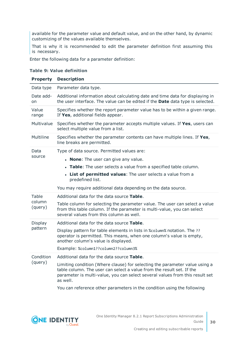available for the parameter value and default value, and on the other hand, by dynamic customizing of the values available themselves.

That is why it is recommended to edit the parameter definition first assuming this is necessary.

Enter the following data for a parameter definition:

#### **Property Description** Data type Parameter data type. Date addon Additional information about calculating date and time data for displaying in the user interface. The value can be edited if the **Date** data type is selected. Value range Specifies whether the report parameter value has to be within a given range. If **Yes**, additional fields appear. Multivalue Specifies whether the parameter accepts multiple values. If **Yes**, users can select multiple value from a list. Multiline Specifies whether the parameter contents can have multiple lines. If **Yes**, line breaks are permitted. Data source Type of data source. Permitted values are: **· None**: The user can give any value. **Table**: The user selects a value from a specified table column. **.** List of **permitted values**: The user selects a value from a predefined list. You may require additional data depending on the data source. Table column (query) Additional data for the data source **Table**. Table column for selecting the parameter value. The user can select a value from this table column. If the parameter is multi-value, you can select several values from this column as well. Display pattern Additional data for the data source **Table**. Display pattern for table elements in lists in %column% notation. The ?? operator is permitted. This means, when one column's value is empty, another column's value is displayed. Example: %column1??column2??column3% Condition (query) Additional data for the data source **Table**. Limiting condition (Where clause) for selecting the parameter value using a table column. The user can select a value from the result set. If the parameter is multi-value, you can select several values from this result set as well.

#### **Table 9: Value definition**

You can reference other parameters in the condition using the following

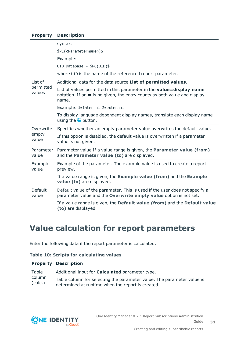#### **Property Description**

|                             | syntax:<br>\$PC( <parametername>)\$<br/>Example:</parametername>                                                                                                    |
|-----------------------------|---------------------------------------------------------------------------------------------------------------------------------------------------------------------|
|                             | UID Database = $$PC(UID)$$                                                                                                                                          |
|                             | where UID is the name of the referenced report parameter.                                                                                                           |
| List of                     | Additional data for the data source List of permitted values.                                                                                                       |
| permitted<br>values         | List of values permitted in this parameter in the <b>value=display name</b><br>notation. If an $=$ is no given, the entry counts as both value and display<br>name. |
|                             | Example: 1=internal 2=external                                                                                                                                      |
|                             | To display language dependent display names, translate each display name<br>using the $\bullet$ button.                                                             |
| Overwrite<br>empty<br>value | Specifies whether an empty parameter value overwrites the default value.                                                                                            |
|                             | If this option is disabled, the default value is overwritten if a parameter<br>value is not given.                                                                  |
| Parameter<br>value          | Parameter value If a value range is given, the Parameter value (from)<br>and the Parameter value (to) are displayed.                                                |
| Example<br>value            | Example of the parameter. The example value is used to create a report<br>preview.                                                                                  |
|                             | If a value range is given, the Example value (from) and the Example<br>value (to) are displayed.                                                                    |
| Default<br>value            | Default value of the parameter. This is used if the user does not specify a<br>parameter value and the Overwrite empty value option is not set.                     |
|                             | If a value range is given, the Default value (from) and the Default value<br>(to) are displayed.                                                                    |

### <span id="page-30-0"></span>**Value calculation for report parameters**

Enter the following data if the report parameter is calculated:

#### **Table 10: Scripts for calculating values**

|                            | <b>Property Description</b>                                                                                                 |
|----------------------------|-----------------------------------------------------------------------------------------------------------------------------|
| Table<br>column<br>(calc.) | Additional input for <b>Calculated</b> parameter type.                                                                      |
|                            | Table column for selecting the parameter value. The parameter value is<br>determined at runtime when the report is created. |

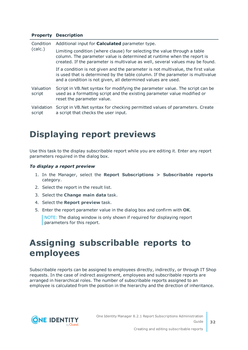#### **Property Description**

| Condition<br>(calc.) | Additional input for <b>Calculated</b> parameter type.                                                                                                                                                                                |
|----------------------|---------------------------------------------------------------------------------------------------------------------------------------------------------------------------------------------------------------------------------------|
|                      | Limiting condition (where clause) for selecting the value through a table<br>column. The parameter value is determined at runtime when the report is<br>created. If the parameter is multivalue as well, several values may be found. |
|                      | If a condition is not given and the parameter is not multivalue, the first value<br>is used that is determined by the table column. If the parameter is multivalue<br>and a condition is not given, all determined values are used.   |
| Valuation<br>script  | Script in VB. Net syntax for modifying the parameter value. The script can be<br>used as a formatting script and the existing parameter value modified or<br>reset the parameter value.                                               |
| Validation<br>script | Script in VB. Net syntax for checking permitted values of parameters. Create<br>a script that checks the user input.                                                                                                                  |

### <span id="page-31-0"></span>**Displaying report previews**

Use this task to the display subscribable report while you are editing it. Enter any report parameters required in the dialog box.

#### *To display a report preview*

- 1. In the Manager, select the **Report Subscriptions > Subscribable reports** category.
- 2. Select the report in the result list.
- 3. Select the **Change main data** task.
- 4. Select the **Report preview** task.
- 5. Enter the report parameter value in the dialog box and confirm with **OK**.

NOTE: The dialog window is only shown if required for displaying report parameters for this report.

### <span id="page-31-1"></span>**Assigning subscribable reports to employees**

Subscribable reports can be assigned to employees directly, indirectly, or through IT Shop requests. In the case of indirect assignment, employees and subscribable reports are arranged in hierarchical roles. The number of subscribable reports assigned to an employee is calculated from the position in the hierarchy and the direction of inheritance.

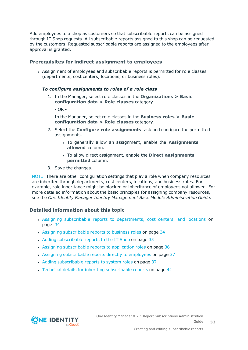Add employees to a shop as customers so that subscribable reports can be assigned through IT Shop requests. All subscribable reports assigned to this shop can be requested by the customers. Requested subscribable reports are assigned to the employees after approval is granted.

#### **Prerequisites for indirect assignment to employees**

• Assignment of employees and subscribable reports is permitted for role classes (departments, cost centers, locations, or business roles).

#### *To configure assignments to roles of a role class*

1. In the Manager, select role classes in the **Organizations > Basic configuration data > Role classes** category.

 $- OR -$ 

In the Manager, select role classes in the **Business roles > Basic configuration data > Role classes** category.

- 2. Select the **Configure role assignments** task and configure the permitted assignments.
	- . To generally allow an assignment, enable the **Assignments allowed** column.
	- <sup>l</sup> To allow direct assignment, enable the **Direct assignments permitted** column.
- 3. Save the changes.

NOTE: There are other configuration settings that play a role when company resources are inherited through departments, cost centers, locations, and business roles. For example, role inheritance might be blocked or inheritance of employees not allowed. For more detailed information about the basic principles for assigning company resources, see the *One Identity Manager Identity Management Base Module Administration Guide*.

#### **Detailed information about this topic**

- Assigning subscribable reports to [departments,](#page-33-0) cost centers, and locations on [page](#page-33-0) 34
- Assigning [subscribable](#page-33-1) reports to business roles on page 34
- Adding [subscribable](#page-34-0) reports to the IT Shop on page 35
- Assigning [subscribable](#page-35-0) reports to application roles on page 36
- Assigning [subscribable](#page-36-0) reports directly to employees on page 37
- Adding [subscribable](#page-36-1) reports to system roles on page 37
- Technical details for inheriting [subscribable](#page-43-0) reports on page 44

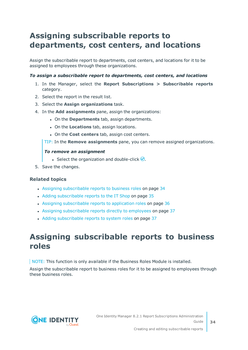### <span id="page-33-0"></span>**Assigning subscribable reports to departments, cost centers, and locations**

Assign the subscribable report to departments, cost centers, and locations for it to be assigned to employees through these organizations.

#### *To assign a subscribable report to departments, cost centers, and locations*

- 1. In the Manager, select the **Report Subscriptions > Subscribable reports** category.
- 2. Select the report in the result list.
- 3. Select the **Assign organizations** task.
- 4. In the **Add assignments** pane, assign the organizations:
	- <sup>l</sup> On the **Departments** tab, assign departments.
	- **.** On the **Locations** tab, assign locations.
	- <sup>l</sup> On the **Cost centers** tab, assign cost centers.
	- TIP: In the **Remove assignments** pane, you can remove assigned organizations.

#### *To remove an assignment*

- **Select the organization and double-click**  $\mathcal{O}$ **.**
- 5. Save the changes.

#### **Related topics**

- Assigning [subscribable](#page-33-1) reports to business roles on page 34
- Adding [subscribable](#page-34-0) reports to the IT Shop on page 35
- Assigning [subscribable](#page-35-0) reports to application roles on page 36
- Assigning [subscribable](#page-36-0) reports directly to employees on page 37
- Adding [subscribable](#page-36-1) reports to system roles on page 37

### <span id="page-33-1"></span>**Assigning subscribable reports to business roles**

NOTE: This function is only available if the Business Roles Module is installed.

Assign the subscribable report to business roles for it to be assigned to employees through these business roles.

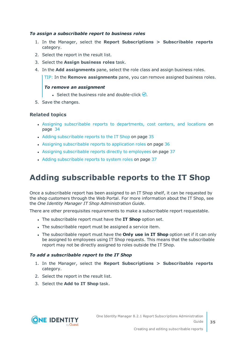#### *To assign a subscribable report to business roles*

- 1. In the Manager, select the **Report Subscriptions > Subscribable reports** category.
- 2. Select the report in the result list.
- 3. Select the **Assign business roles** task.
- 4. In the **Add assignments** pane, select the role class and assign business roles.

TIP: In the **Remove assignments** pane, you can remove assigned business roles.

#### *To remove an assignment*

- **Select the business role and double-click .**
- 5. Save the changes.

#### **Related topics**

- Assigning subscribable reports to [departments,](#page-33-0) cost centers, and locations on [page](#page-33-0) 34
- Adding [subscribable](#page-34-0) reports to the IT Shop on page 35
- Assigning [subscribable](#page-35-0) reports to application roles on page 36
- Assigning [subscribable](#page-36-0) reports directly to employees on page 37
- Adding [subscribable](#page-36-1) reports to system roles on page 37

### <span id="page-34-0"></span>**Adding subscribable reports to the IT Shop**

Once a subscribable report has been assigned to an IT Shop shelf, it can be requested by the shop customers through the Web Portal. For more information about the IT Shop, see the *One Identity Manager IT Shop Administration Guide*.

There are other prerequisites requirements to make a subscribable report requestable.

- <sup>l</sup> The subscribable report must have the **IT Shop** option set.
- The subscribable report must be assigned a service item.
- <sup>l</sup> The subscribable report must have the **Only use in IT Shop** option set if it can only be assigned to employees using IT Shop requests. This means that the subscribable report may not be directly assigned to roles outside the IT Shop.

#### *To add a subscribable report to the IT Shop*

- 1. In the Manager, select the **Report Subscriptions > Subscribable reports** category.
- 2. Select the report in the result list.
- 3. Select the **Add to IT Shop** task.

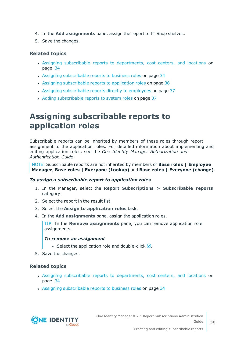- 4. In the **Add assignments** pane, assign the report to IT Shop shelves.
- 5. Save the changes.

#### **Related topics**

- Assigning subscribable reports to [departments,](#page-33-0) cost centers, and locations on [page](#page-33-0) 34
- Assigning [subscribable](#page-33-1) reports to business roles on page 34
- Assigning [subscribable](#page-35-0) reports to application roles on page 36
- Assigning [subscribable](#page-36-0) reports directly to employees on page 37
- Adding [subscribable](#page-36-1) reports to system roles on page 37

### <span id="page-35-0"></span>**Assigning subscribable reports to application roles**

Subscribable reports can be inherited by members of these roles through report assignment to the application roles. For detailed information about implementing and editing application roles, see the *One Identity Manager Authorization and Authentication Guide*.

NOTE: Subscribable reports are not inherited by members of **Base roles | Employee Manager**, **Base roles | Everyone (Lookup)** and **Base roles | Everyone (change)**.

#### *To assign a subscribable report to application roles*

- 1. In the Manager, select the **Report Subscriptions > Subscribable reports** category.
- 2. Select the report in the result list.
- 3. Select the **Assign to application roles** task.
- 4. In the **Add assignments** pane, assign the application roles.

TIP: In the **Remove assignments** pane, you can remove application role assignments.

#### *To remove an assignment*

- **Select the application role and double-click**  $\odot$ **.**
- 5. Save the changes.

#### **Related topics**

- Assigning subscribable reports to [departments,](#page-33-0) cost centers, and locations on [page](#page-33-0) 34
- Assigning [subscribable](#page-33-1) reports to business roles on page 34

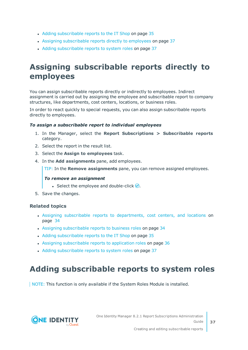- Adding [subscribable](#page-34-0) reports to the IT Shop on page 35
- Assigning [subscribable](#page-36-0) reports directly to employees on page 37
- Adding [subscribable](#page-36-1) reports to system roles on page 37

### <span id="page-36-0"></span>**Assigning subscribable reports directly to employees**

You can assign subscribable reports directly or indirectly to employees. Indirect assignment is carried out by assigning the employee and subscribable report to company structures, like departments, cost centers, locations, or business roles.

In order to react quickly to special requests, you can also assign subscribable reports directly to employees.

#### *To assign a subscribable report to individual employees*

- 1. In the Manager, select the **Report Subscriptions > Subscribable reports** category.
- 2. Select the report in the result list.
- 3. Select the **Assign to employees** task.
- 4. In the **Add assignments** pane, add employees.

TIP: In the **Remove assignments** pane, you can remove assigned employees.

#### *To remove an assignment*

- Select the employee and double-click  $\bigcirc$ .
- 5. Save the changes.

#### **Related topics**

- Assigning subscribable reports to [departments,](#page-33-0) cost centers, and locations on [page](#page-33-0) 34
- Assigning [subscribable](#page-33-1) reports to business roles on page 34
- Adding [subscribable](#page-34-0) reports to the IT Shop on page 35
- Assigning [subscribable](#page-35-0) reports to application roles on page 36
- Adding [subscribable](#page-36-1) reports to system roles on page 37

### <span id="page-36-1"></span>**Adding subscribable reports to system roles**

NOTE: This function is only available if the System Roles Module is installed.

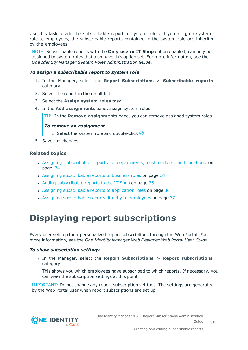Use this task to add the subscribable report to system roles. If you assign a system role to employees, the subscribable reports contained in the system role are inherited by the employees.

NOTE: Subscribable reports with the **Only use in IT Shop** option enabled, can only be assigned to system roles that also have this option set. For more information, see the *One Identity Manager System Roles Administration Guide*.

#### *To assign a subscribable report to system role*

- 1. In the Manager, select the **Report Subscriptions > Subscribable reports** category.
- 2. Select the report in the result list.
- 3. Select the **Assign system roles** task.
- 4. In the **Add assignments** pane, assign system roles.

TIP: In the **Remove assignments** pane, you can remove assigned system roles.

#### *To remove an assignment*

- **Select the system role and double-click .**
- 5. Save the changes.

#### **Related topics**

- Assigning subscribable reports to [departments,](#page-33-0) cost centers, and locations on [page](#page-33-0) 34
- Assigning [subscribable](#page-33-1) reports to business roles on page 34
- Adding [subscribable](#page-34-0) reports to the IT Shop on page 35
- Assigning [subscribable](#page-35-0) reports to application roles on page 36
- Assigning [subscribable](#page-36-0) reports directly to employees on page 37

## <span id="page-37-0"></span>**Displaying report subscriptions**

Every user sets up their personalized report subscriptions through the Web Portal. For more information, see the *One Identity Manager Web Designer Web Portal User Guide*.

#### *To show subscription settings*

<sup>l</sup> In the Manager, select the **Report Subscriptions > Report subscriptions** category.

This shows you which employees have subscribed to which reports. If necessary, you can view the subscription settings at this point.

IMPORTANT: Do not change any report subscription settings. The settings are generated by the Web Portal user when report subscriptions are set up.

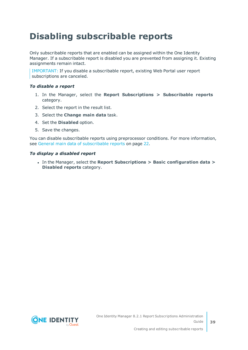# <span id="page-38-0"></span>**Disabling subscribable reports**

Only subscribable reports that are enabled can be assigned within the One Identity Manager. If a subscribable report is disabled you are prevented from assigning it. Existing assignments remain intact.

IMPORTANT: If you disable a subscribable report, existing Web Portal user report subscriptions are canceled.

#### *To disable a report*

- 1. In the Manager, select the **Report Subscriptions > Subscribable reports** category.
- 2. Select the report in the result list.
- 3. Select the **Change main data** task.
- 4. Set the **Disabled** option.
- 5. Save the changes.

You can disable subscribable reports using preprocessor conditions. For more [information,](#page-21-0) see General main data of [subscribable](#page-21-0) reports on page 22.

#### *To display a disabled report*

<sup>l</sup> In the Manager, select the **Report Subscriptions > Basic configuration data > Disabled reports** category.

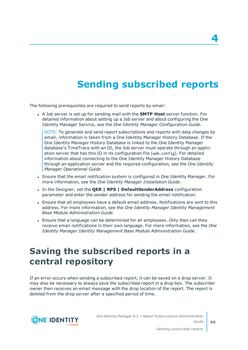# **Sending subscribed reports**

<span id="page-39-0"></span>The following prerequisites are required to send reports by email:

<sup>l</sup> A Job server is set up for sending mail with the **SMTP Host** server function. For detailed information about setting up a Job server and about configuring the One Identity Manager Service, see the *One Identity Manager Configuration Guide*.

NOTE: To generate and send report subscriptions and reports with data changes by email, information is taken from a One Identity Manager History Database. If the One Identity Manager History Database is linked to the One Identity Manager database's TimeTrace with an ID, the Job server must operate through an application server that has this ID in its configuration file (web.config). For detailed information about connecting to the One Identity Manager History Database through an application server and the required configuration, see the *One Identity Manager Operational Guide*.

- Ensure that the email notification system is configured in One Identity Manager. For more information, see the *One Identity Manager Installation Guide*.
- <sup>l</sup> In the Designer, set the **QER | RPS | DefaultSenderAddress** configuration parameter and enter the sender address for sending the email notification.
- Ensure that all employees have a default email address. Notifications are sent to this address. For more information, see the *One Identity Manager Identity Management Base Module Administration Guide*.
- Ensure that a language can be determined for all employees. Only then can they receive email notifications in their own language. For more information, see the *One Identity Manager Identity Management Base Module Administration Guide*.

### <span id="page-39-1"></span>**Saving the subscribed reports in a central repository**

If an error occurs when sending a subscribed report, it can be saved on a drop server. It may also be necessary to always save the subscribed report in a drop box. The subscriber owner then receives an email message with the drop location of the report. The report is deleted from the drop server after a specified period of time.



One Identity Manager 8.2.1 Report Subscriptions Administration Guide **4**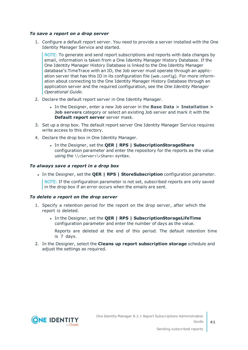#### *To save a report on a drop server*

1. Configure a default report server. You need to provide a server installed with the One Identity Manager Service and started.

NOTE: To generate and send report subscriptions and reports with data changes by email, information is taken from a One Identity Manager History Database. If the One Identity Manager History Database is linked to the One Identity Manager database's TimeTrace with an ID, the Job server must operate through an application server that has this ID in its configuration file (web.config). For more information about connecting to the One Identity Manager History Database through an application server and the required configuration, see the *One Identity Manager Operational Guide*.

- 2. Declare the default report server in One Identity Manager.
	- <sup>l</sup> In the Designer, enter a new Job server in the **Base Data > Installation > Job servers** category or select an existing Job server and mark it with the **Default report server** server mask.
- 3. Set up a drop box. The default report server One Identity Manager Service requires write access to this directory.
- 4. Declare the drop box in One Identity Manager.
	- <sup>l</sup> In the Designer, set the **QER | RPS | SubscriptionStorageShare** configuration parameter and enter the repository for the reports as the value using the \\<Server>\<Share> syntax.

#### *To always save a report in a drop box*

<sup>l</sup> In the Designer, set the **QER | RPS | StoreSubscription** configuration parameter.

NOTE: If the configuration parameter is not set, subscribed reports are only saved in the drop box if an error occurs when the emails are sent.

#### *To delete a report on the drop server*

- 1. Specify a retention period for the report on the drop server, after which the report is deleted.
	- <sup>l</sup> In the Designer, set the **QER | RPS | SubscriptionStorageLifeTime** configuration parameter and enter the number of days as the value.

Reports are deleted at the end of this period. The default retention time is 7 days.

2. In the Designer, select the **Cleans up report subscription storage** schedule and adjust the settings as required.

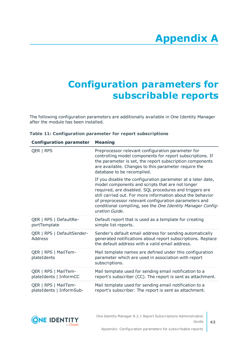# **Appendix A**

# <span id="page-41-0"></span>**Appendix:Configuration parameters for subscribable reports**

The following configuration parameters are additionally available in One Identity Manager after the module has been installed.

| <b>Configuration parameter</b>                   | <b>Meaning</b>                                                                                                                                                                                                                                                                                                                                                                     |
|--------------------------------------------------|------------------------------------------------------------------------------------------------------------------------------------------------------------------------------------------------------------------------------------------------------------------------------------------------------------------------------------------------------------------------------------|
| QER   RPS                                        | Preprocessor relevant configuration parameter for<br>controlling model components for report subscriptions. If<br>the parameter is set, the report subscription components<br>are available. Changes to this parameter require the<br>database to be recompiled.                                                                                                                   |
|                                                  | If you disable the configuration parameter at a later date,<br>model components and scripts that are not longer<br>required, are disabled. SQL procedures and triggers are<br>still carried out. For more information about the behavior<br>of preprocessor relevant configuration parameters and<br>conditional compiling, see the One Identity Manager Config-<br>uration Guide. |
| QER   RPS   DefaultRe-<br>portTemplate           | Default report that is used as a template for creating<br>simple list reports.                                                                                                                                                                                                                                                                                                     |
| QER   RPS   DefaultSender-<br>Address            | Sender's default email address for sending automatically<br>generated notifications about report subscriptions. Replace<br>the default address with a valid email address.                                                                                                                                                                                                         |
| QER   RPS   MailTem-<br>plateIdents              | Mail template names are defined under this configuration<br>parameter which are used in association with report<br>subscriptions.                                                                                                                                                                                                                                                  |
| QER   RPS   MailTem-<br>plateIdents   InformCC   | Mail template used for sending email notification to a<br>report's subscriber (CC). The report is sent as attachment.                                                                                                                                                                                                                                                              |
| QER   RPS   MailTem-<br>plateIdents   InformSub- | Mail template used for sending email notification to a<br>report's subscriber. The report is sent as attachment.                                                                                                                                                                                                                                                                   |

#### **Table 11: Configuration parameter for report subscriptions**

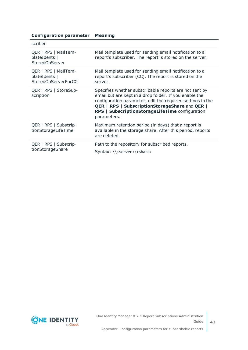#### **Configuration parameter Meaning**

| scriber                                                             |                                                                                                                                                                                                                                                                                                                  |
|---------------------------------------------------------------------|------------------------------------------------------------------------------------------------------------------------------------------------------------------------------------------------------------------------------------------------------------------------------------------------------------------|
| QER   RPS   MailTem-<br>plateIdents  <br>StoredOnServer             | Mail template used for sending email notification to a<br>report's subscriber. The report is stored on the server.                                                                                                                                                                                               |
| QER   RPS   MailTem-<br>plateIdents  <br><b>StoredOnServerForCC</b> | Mail template used for sending email notification to a<br>report's subscriber (CC). The report is stored on the<br>server.                                                                                                                                                                                       |
| QER   RPS   StoreSub-<br>scription                                  | Specifies whether subscribable reports are not sent by<br>email but are kept in a drop folder. If you enable the<br>configuration parameter, edit the required settings in the<br><b>QER   RPS   SubscriptionStorageShare and QER  </b><br><b>RPS   SubscriptionStorageLifeTime configuration</b><br>parameters. |
| QER   RPS   Subscrip-<br>tionStorageLifeTime                        | Maximum retention period (in days) that a report is<br>available in the storage share. After this period, reports<br>are deleted.                                                                                                                                                                                |
| QER   RPS   Subscrip-<br>tionStorageShare                           | Path to the repository for subscribed reports.<br>Syntax: \\ <server>\<share></share></server>                                                                                                                                                                                                                   |

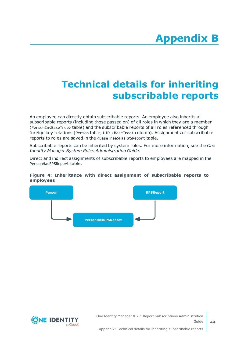# <span id="page-43-0"></span>**Appendix:Technical details for inheriting subscribable reports**

An employee can directly obtain subscribable reports. An employee also inherits all subscribable reports (including those passed on) of all roles in which they are a member (PersonIn<BaseTree> table) and the subscribable reports of all roles referenced through foreign key relations (Person table, UID\_<BaseTree> column). Assignments of subscribable reports to roles are saved in the <BaseTree>HasRPSReport table.

Subscribable reports can be inherited by system roles. For more information, see the *One Identity Manager System Roles Administration Guide*.

Direct and indirect assignments of subscribable reports to employees are mapped in the PersonHasRPSReport table.

#### **Figure 4: Inheritance with direct assignment of subscribable reports to employees**



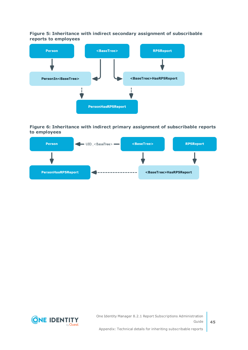**Figure 5: Inheritance with indirect secondary assignment of subscribable reports to employees**



#### **Figure 6: Inheritance with indirect primary assignment of subscribable reports to employees**



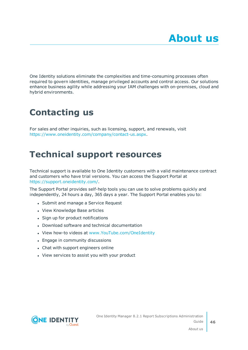<span id="page-45-0"></span>One Identity solutions eliminate the complexities and time-consuming processes often required to govern identities, manage privileged accounts and control access. Our solutions enhance business agility while addressing your IAM challenges with on-premises, cloud and hybrid environments.

# <span id="page-45-1"></span>**Contacting us**

For sales and other inquiries, such as licensing, support, and renewals, visit <https://www.oneidentity.com/company/contact-us.aspx>.

## <span id="page-45-2"></span>**Technical support resources**

Technical support is available to One Identity customers with a valid maintenance contract and customers who have trial versions. You can access the Support Portal at [https://support.oneidentity.com/.](https://support.oneidentity.com/)

The Support Portal provides self-help tools you can use to solve problems quickly and independently, 24 hours a day, 365 days a year. The Support Portal enables you to:

- Submit and manage a Service Request
- View Knowledge Base articles
- Sign up for product notifications
- Download software and technical documentation
- View how-to videos at [www.YouTube.com/OneIdentity](http://www.youtube.com/OneIdentity)
- Engage in community discussions
- Chat with support engineers online
- View services to assist you with your product

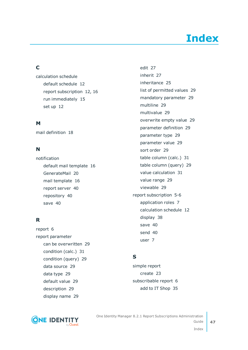# **Index**

### <span id="page-46-0"></span>**C**

calculation schedule default schedule [12](#page-11-0) report subscription [12](#page-11-0), [16](#page-15-0) run immediately [15](#page-14-0) set up [12](#page-11-0)

#### **M**

mail definition [18](#page-17-1)

### **N**

notification default mail template [16](#page-15-1) GenerateMail [20](#page-19-0) mail template [16](#page-15-1) report server [40](#page-39-1) repository [40](#page-39-1) save [40](#page-39-1)

### **R**

report [6](#page-5-0) report parameter can be overwritten [29](#page-28-0) condition (calc.) [31](#page-30-0) condition (query) [29](#page-28-1) data source [29](#page-28-1) data type [29](#page-28-1) default value [29](#page-28-1) description [29](#page-28-0) display name [29](#page-28-0)



edit [27](#page-26-0) inherit [27](#page-26-0) inheritance [25](#page-24-0) list of permitted values [29](#page-28-1) mandatory parameter [29](#page-28-0) multiline [29](#page-28-1) multivalue [29](#page-28-1) overwrite empty value [29](#page-28-1) parameter definition [29](#page-28-1) parameter type [29](#page-28-0) parameter value [29](#page-28-1) sort order [29](#page-28-0) table column (calc.) [31](#page-30-0) table column (query) [29](#page-28-1) value calculation [31](#page-30-0) value range [29](#page-28-1) viewable [29](#page-28-0) report subscription [5-6](#page-4-0) application roles [7](#page-6-0) calculation schedule [12](#page-11-0) display [38](#page-37-0) save [40](#page-39-1) send [40](#page-39-0) user [7](#page-6-0)

### **S**

simple report create [23](#page-22-0) subscribable report [6](#page-5-0) add to IT Shop [35](#page-34-0)